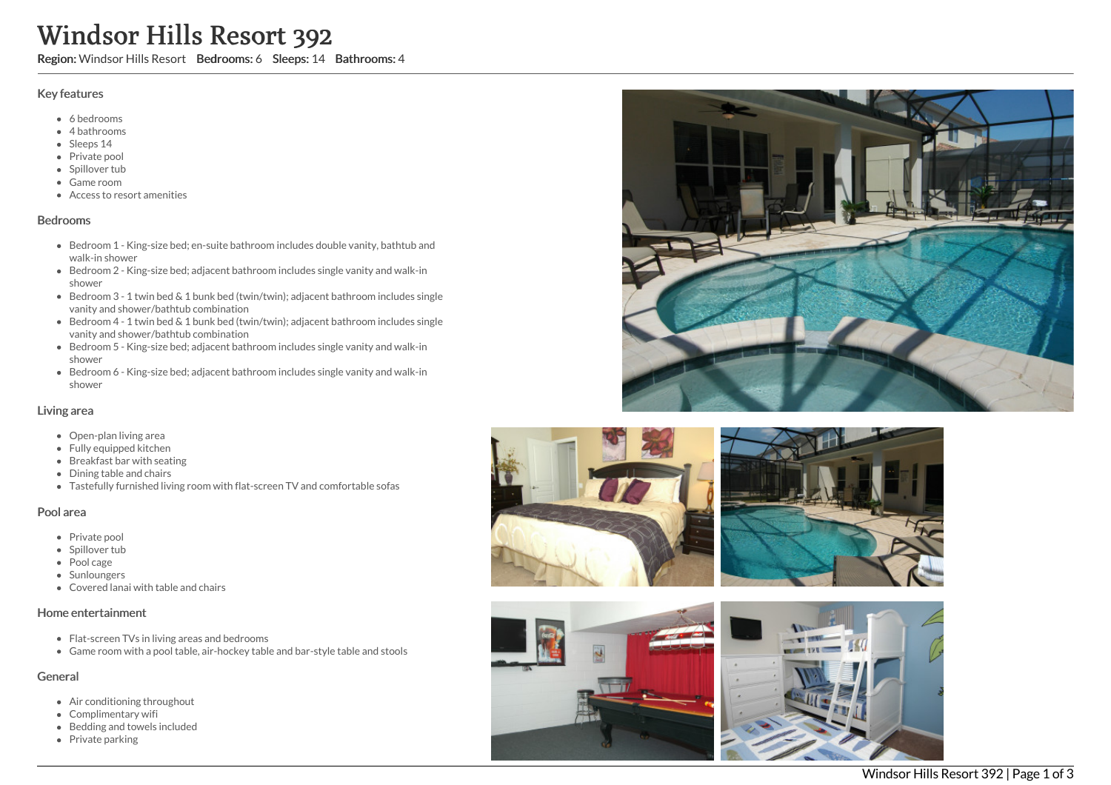# Windsor Hills Resort 392

Region: Windsor Hills Resort Bedrooms: 6 Sleeps: 14 Bathrooms: 4

## Key features

- 6 b e d r o o m s
- 4 bathrooms
- Sleeps 14
- Private pool
- Spillover tub
- Game room
- Access to resort amenities

#### **Bedrooms**

- Bedroom 1 King-size bed; en-suite bathroom includes double vanity, bathtub and walk-in shower
- Bedroom 2 King-size bed; adjacent bathroom includes single vanity and walk-in s h o w e r
- Bedroom 3 1 twin bed & 1 bunk bed (twin/twin); adjacent bathroom includes single vanity and shower/bathtub combination
- Bedroom 4 1 twin bed & 1 bunk bed (twin/twin); adjacent bathroom includes single vanity and shower/bathtub combination
- Bedroom 5 King-size bed; adjacent bathroom includes single vanity and walk-in s h o w e r
- Bedroom 6 King-size bed; adjacent bathroom includes single vanity and walk-in s h o w e r

#### Living area

- Open-plan living area
- Fully equipped kitchen
- Breakfast bar with seating
- Dining table and chairs
- Tastefully furnished living room with flat-screen TV and comfortable sofas

## Pool area

- Private pool
- Spillover tub
- Pool cage
- Sunloungers
- Covered lanai with table and chairs

## Home entertainment

- Flat-screen TVs in living areas and bedrooms
- Game room with a pool table, air-hockey table and bar-style table and stools

## General

- Air conditioning throughout
- Complimentary wifi
- Bedding and towels in clu d e d
- Private parking









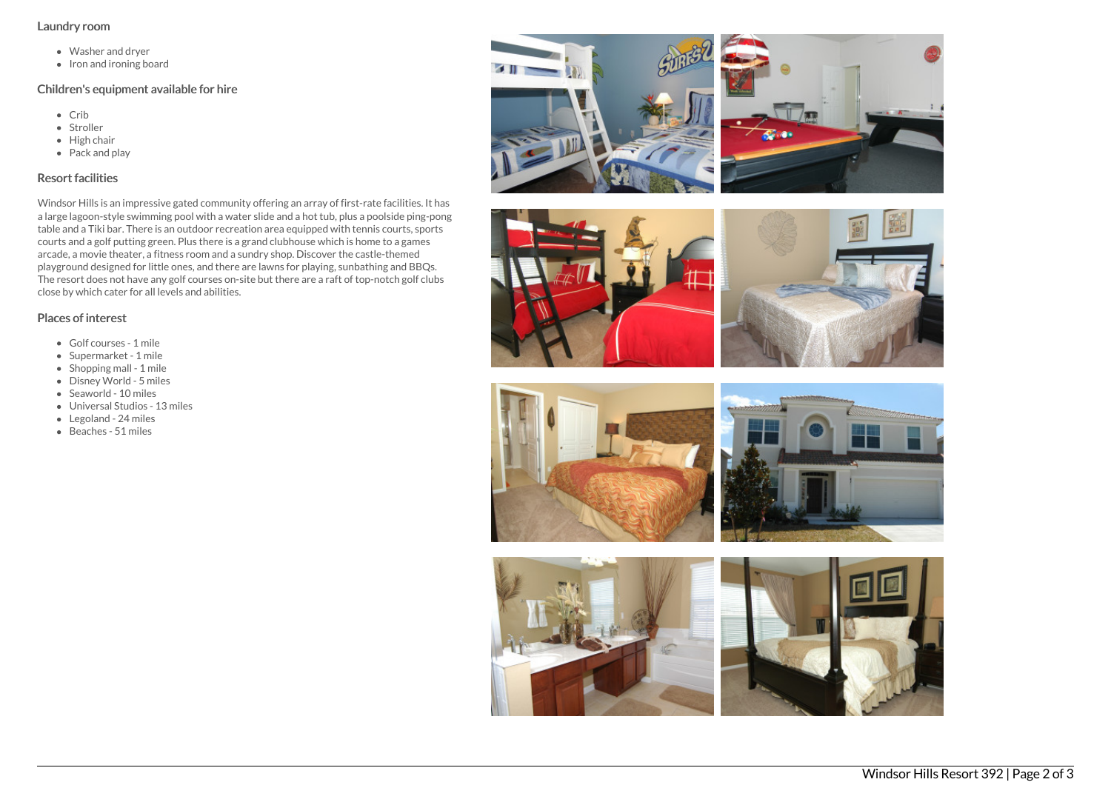#### Laundry room

- Washer and dryer
- Iron and ironing board

## Children's equipment available for hire

- Crib
- Stroller
- $\bullet$  High chair
- Pack and play

# Resort facilities

Windsor Hills is an impressive gated community offering an array of first-rate facilities. It has a large lagoon-style swimming pool with a water slide and a hot tub, plus a poolside ping-pong table and a Tiki bar. There is an outdoor recreation area equipped with tennis courts, sports courts and a golf putting green. Plus there is a grand clubhouse which is home to a games arcade, a movie theater, a fitness room and a sundry shop. Discover the castle-themed playground designed for little ones, and there are lawns for playing, sunbathing and BBQs. The resort does not have any golf courses on-site but there are a raft of top-notch golf clubs close by which cater for all levels and abilities.

# Places of interest

- Golf courses 1 mile
- Supermarket 1 mile
- Shopping mall 1 mile
- Disney World 5 miles
- Seaworld 10 miles
- Universal Studios 13 miles
- Legoland 24 miles
- $\bullet$  Beaches 51 miles